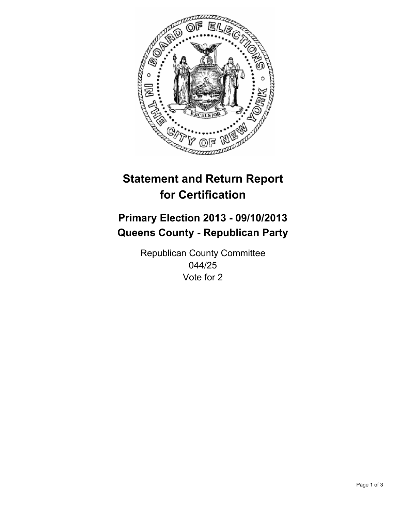

# **Statement and Return Report for Certification**

## **Primary Election 2013 - 09/10/2013 Queens County - Republican Party**

Republican County Committee 044/25 Vote for 2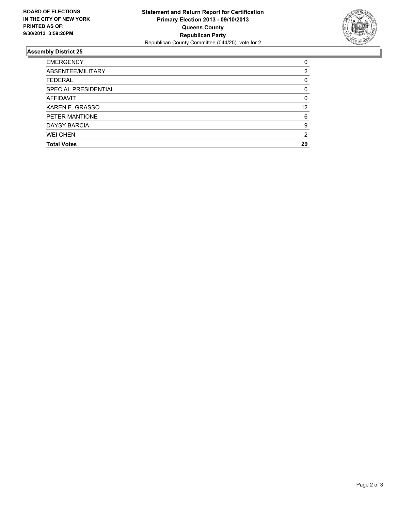

## **Assembly District 25**

| 0        |
|----------|
| 2        |
| 0        |
| $\Omega$ |
| 0        |
| 12       |
| 6        |
| 9        |
| 2        |
| 29       |
|          |